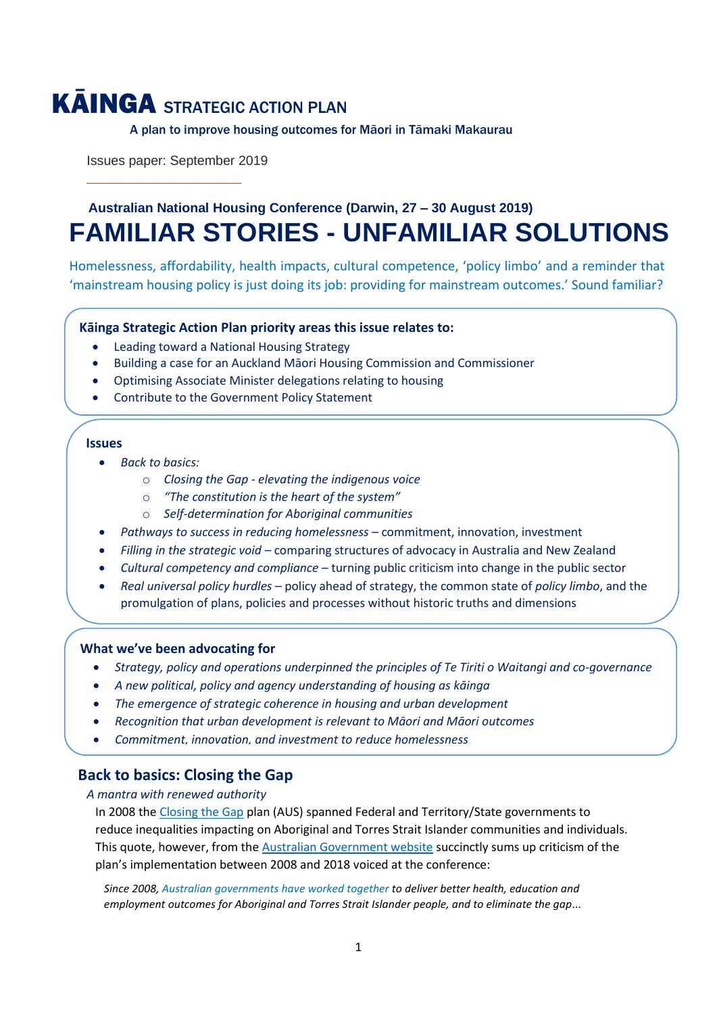# KĀINGA STRATEGIC ACTION PLAN

A plan to improve housing outcomes for Māori in Tāmaki Makaurau

Issues paper: September 2019

\_\_\_\_\_\_\_\_\_\_\_\_\_\_\_\_\_\_\_\_\_

# **Australian National Housing Conference (Darwin, 27 – 30 August 2019) FAMILIAR STORIES - UNFAMILIAR SOLUTIONS**

Homelessness, affordability, health impacts, cultural competence, 'policy limbo' and a reminder that 'mainstream housing policy is just doing its job: providing for mainstream outcomes.' Sound familiar?

# **Kāinga Strategic Action Plan priority areas this issue relates to:**

- Leading toward a National Housing Strategy
- Building a case for an Auckland Māori Housing Commission and Commissioner

• Ministry of Housing and Urban Development Māori Housing Unit work programme

- Optimising Associate Minister delegations relating to housing
- Contribute to the Government Policy Statement

# **Issues**

- *Back to basics:*
	- o *Closing the Gap - elevating the indigenous voice*
	- o *"The constitution is the heart of the system"*
	- o *Self-determination for Aboriginal communities*
- *Pathways to success in reducing homelessness*  commitment, innovation, investment
- *Filling in the strategic void –* comparing structures of advocacy in Australia and New Zealand
- *Cultural competency and compliance* turning public criticism into change in the public sector
- *Real universal policy hurdles*  policy ahead of strategy, the common state of *policy limbo*, and the promulgation of plans, policies and processes without historic truths and dimensions

# **What we've been advocating for**

- *Strategy, policy and operations underpinned the principles of Te Tiriti o Waitangi and co-governance*
- *A new political, policy and agency understanding of housing as kāinga*
- *The emergence of strategic coherence in housing and urban development*
- *Recognition that urban development is relevant to Māori and Māori outcomes*
- *Commitment, innovation, and investment to reduce homelessness*

# **Back to basics: Closing the Gap**

*A mantra with renewed authority*

In 2008 th[e Closing the Gap](https://www.datsip.qld.gov.au/programs-initiatives/closing-gap) plan (AUS) spanned Federal and Territory/State governments to reduce inequalities impacting on Aboriginal and Torres Strait Islander communities and individuals. This quote, however, from th[e Australian Government website](https://closingthegap.niaa.gov.au/) succinctly sums up criticism of the plan's implementation between 2008 and 2018 voiced at the conference:

*Since 2008, Australian governments have worked together to deliver better health, education and employment outcomes for Aboriginal and Torres Strait Islander people, and to eliminate the gap...*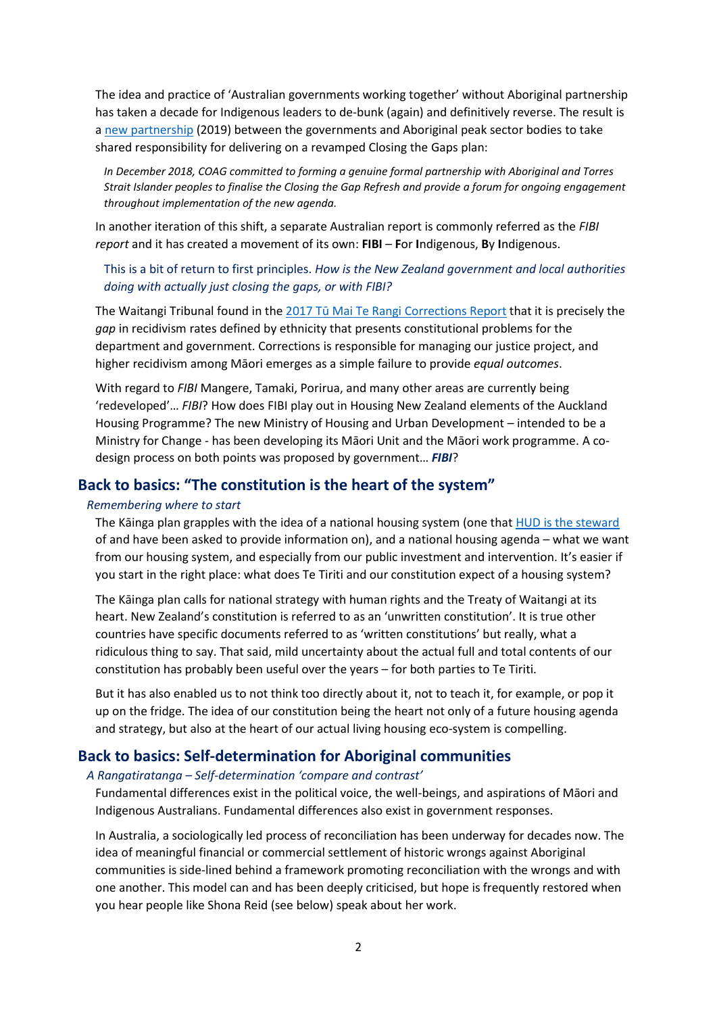The idea and practice of 'Australian governments working together' without Aboriginal partnership has taken a decade for Indigenous leaders to de-bunk (again) and definitively reverse. The result is a [new partnership](https://closingthegapday.net/closing-the-gap-program/) (2019) between the governments and Aboriginal peak sector bodies to take shared responsibility for delivering on a revamped Closing the Gaps plan:

*In December 2018, COAG committed to forming a genuine formal partnership with Aboriginal and Torres Strait Islander peoples to finalise the Closing the Gap Refresh and provide a forum for ongoing engagement throughout implementation of the new agenda.* 

In another iteration of this shift, a separate Australian report is commonly referred as the *FIBI report* and it has created a movement of its own: **FIBI** – **F**or **I**ndigenous, **B**y **I**ndigenous.

This is a bit of return to first principles. *How is the New Zealand government and local authorities doing with actually just closing the gaps, or with FIBI?*

The Waitangi Tribunal found in the 2017 Tū Mai Te Rangi [Corrections Report](https://maorilawreview.co.nz/2017/04/tu-mai-te-rangi-the-crown-and-disproportionate-maori-reoffending-rates/) that it is precisely the *gap* in recidivism rates defined by ethnicity that presents constitutional problems for the department and government. Corrections is responsible for managing our justice project, and higher recidivism among Māori emerges as a simple failure to provide *equal outcomes*.

With regard to *FIBI* Mangere, Tamaki, Porirua, and many other areas are currently being 'redeveloped'… *FIBI*? How does FIBI play out in Housing New Zealand elements of the Auckland Housing Programme? The new Ministry of Housing and Urban Development – intended to be a Ministry for Change - has been developing its Māori Unit and the Māori work programme. A codesign process on both points was proposed by government… *FIBI*?

# **Back to basics: "The constitution is the heart of the system"**

#### *Remembering where to start*

The Kāinga plan grapples with the idea of a national housing system (one that [HUD is the steward](https://www.hud.govt.nz/assets/About-HUD/af1670f260/HUD-Strategic-Intentions-2019-2023.PDF) of and have been asked to provide information on), and a national housing agenda – what we want from our housing system, and especially from our public investment and intervention. It's easier if you start in the right place: what does Te Tiriti and our constitution expect of a housing system?

The Kāinga plan calls for national strategy with human rights and the Treaty of Waitangi at its heart. New Zealand's constitution is referred to as an 'unwritten constitution'. It is true other countries have specific documents referred to as 'written constitutions' but really, what a ridiculous thing to say. That said, mild uncertainty about the actual full and total contents of our constitution has probably been useful over the years – for both parties to Te Tiriti.

But it has also enabled us to not think too directly about it, not to teach it, for example, or pop it up on the fridge. The idea of our constitution being the heart not only of a future housing agenda and strategy, but also at the heart of our actual living housing eco-system is compelling.

# **Back to basics: Self-determination for Aboriginal communities**

#### *A Rangatiratanga – Self-determination 'compare and contrast'*

Fundamental differences exist in the political voice, the well-beings, and aspirations of Māori and Indigenous Australians. Fundamental differences also exist in government responses.

In Australia, a sociologically led process of reconciliation has been underway for decades now. The idea of meaningful financial or commercial settlement of historic wrongs against Aboriginal communities is side-lined behind a framework promoting reconciliation with the wrongs and with one another. This model can and has been deeply criticised, but hope is frequently restored when you hear people like Shona Reid (see below) speak about her work.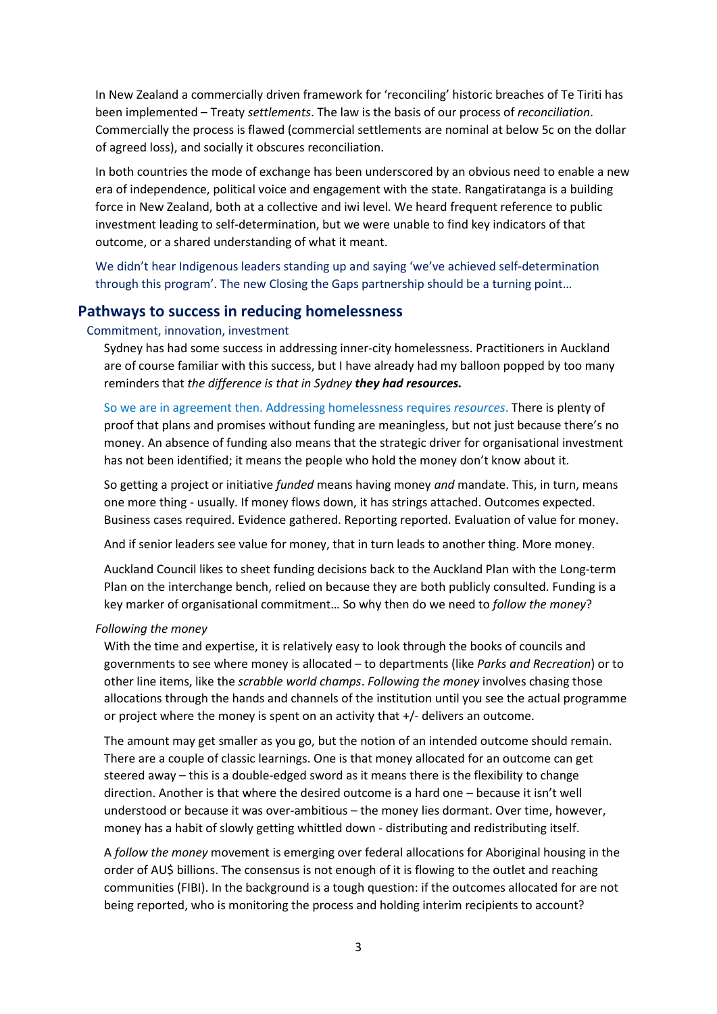In New Zealand a commercially driven framework for 'reconciling' historic breaches of Te Tiriti has been implemented – Treaty *settlements*. The law is the basis of our process of *reconciliation*. Commercially the process is flawed (commercial settlements are nominal at below 5c on the dollar of agreed loss), and socially it obscures reconciliation.

In both countries the mode of exchange has been underscored by an obvious need to enable a new era of independence, political voice and engagement with the state. Rangatiratanga is a building force in New Zealand, both at a collective and iwi level. We heard frequent reference to public investment leading to self-determination, but we were unable to find key indicators of that outcome, or a shared understanding of what it meant.

We didn't hear Indigenous leaders standing up and saying 'we've achieved self-determination through this program'. The new Closing the Gaps partnership should be a turning point…

# **Pathways to success in reducing homelessness**

#### Commitment, innovation, investment

Sydney has had some success in addressing inner-city homelessness. Practitioners in Auckland are of course familiar with this success, but I have already had my balloon popped by too many reminders that *the difference is that in Sydney they had resources.*

So we are in agreement then. Addressing homelessness requires *resources*. There is plenty of proof that plans and promises without funding are meaningless, but not just because there's no money. An absence of funding also means that the strategic driver for organisational investment has not been identified; it means the people who hold the money don't know about it.

So getting a project or initiative *funded* means having money *and* mandate. This, in turn, means one more thing - usually. If money flows down, it has strings attached. Outcomes expected. Business cases required. Evidence gathered. Reporting reported. Evaluation of value for money.

And if senior leaders see value for money, that in turn leads to another thing. More money.

Auckland Council likes to sheet funding decisions back to the Auckland Plan with the Long-term Plan on the interchange bench, relied on because they are both publicly consulted. Funding is a key marker of organisational commitment… So why then do we need to *follow the money*?

#### *Following the money*

With the time and expertise, it is relatively easy to look through the books of councils and governments to see where money is allocated – to departments (like *Parks and Recreation*) or to other line items, like the *scrabble world champs*. *Following the money* involves chasing those allocations through the hands and channels of the institution until you see the actual programme or project where the money is spent on an activity that +/- delivers an outcome.

The amount may get smaller as you go, but the notion of an intended outcome should remain. There are a couple of classic learnings. One is that money allocated for an outcome can get steered away – this is a double-edged sword as it means there is the flexibility to change direction. Another is that where the desired outcome is a hard one – because it isn't well understood or because it was over-ambitious – the money lies dormant. Over time, however, money has a habit of slowly getting whittled down - distributing and redistributing itself.

A *follow the money* movement is emerging over federal allocations for Aboriginal housing in the order of AU\$ billions. The consensus is not enough of it is flowing to the outlet and reaching communities (FIBI). In the background is a tough question: if the outcomes allocated for are not being reported, who is monitoring the process and holding interim recipients to account?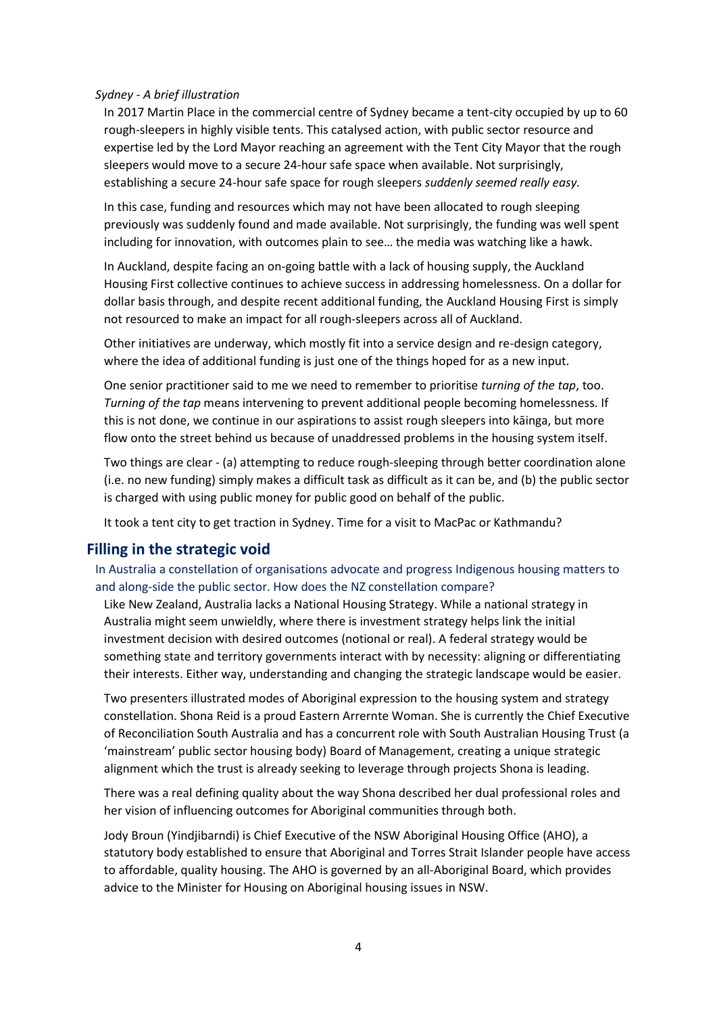#### *Sydney - A brief illustration*

In 2017 Martin Place in the commercial centre of Sydney became a tent-city occupied by up to 60 rough-sleepers in highly visible tents. This catalysed action, with public sector resource and expertise led by the Lord Mayor reaching an agreement with the Tent City Mayor that the rough sleepers would move to a secure 24-hour safe space when available. Not surprisingly, establishing a secure 24-hour safe space for rough sleepers *suddenly seemed really easy.*

In this case, funding and resources which may not have been allocated to rough sleeping previously was suddenly found and made available. Not surprisingly, the funding was well spent including for innovation, with outcomes plain to see… the media was watching like a hawk.

In Auckland, despite facing an on-going battle with a lack of housing supply, the Auckland Housing First collective continues to achieve success in addressing homelessness. On a dollar for dollar basis through, and despite recent additional funding, the Auckland Housing First is simply not resourced to make an impact for all rough-sleepers across all of Auckland.

Other initiatives are underway, which mostly fit into a service design and re-design category, where the idea of additional funding is just one of the things hoped for as a new input.

One senior practitioner said to me we need to remember to prioritise *turning of the tap*, too. *Turning of the tap* means intervening to prevent additional people becoming homelessness. If this is not done, we continue in our aspirations to assist rough sleepers into kāinga, but more flow onto the street behind us because of unaddressed problems in the housing system itself.

Two things are clear - (a) attempting to reduce rough-sleeping through better coordination alone (i.e. no new funding) simply makes a difficult task as difficult as it can be, and (b) the public sector is charged with using public money for public good on behalf of the public.

It took a tent city to get traction in Sydney. Time for a visit to MacPac or Kathmandu?

# **Filling in the strategic void**

In Australia a constellation of organisations advocate and progress Indigenous housing matters to and along-side the public sector. How does the NZ constellation compare?

Like New Zealand, Australia lacks a National Housing Strategy. While a national strategy in Australia might seem unwieldly, where there is investment strategy helps link the initial investment decision with desired outcomes (notional or real). A federal strategy would be something state and territory governments interact with by necessity: aligning or differentiating their interests. Either way, understanding and changing the strategic landscape would be easier.

Two presenters illustrated modes of Aboriginal expression to the housing system and strategy constellation. Shona Reid is a proud Eastern Arrernte Woman. She is currently the Chief Executive of Reconciliation South Australia and has a concurrent role with South Australian Housing Trust (a 'mainstream' public sector housing body) Board of Management, creating a unique strategic alignment which the trust is already seeking to leverage through projects Shona is leading.

There was a real defining quality about the way Shona described her dual professional roles and her vision of influencing outcomes for Aboriginal communities through both.

Jody Broun (Yindjibarndi) is Chief Executive of the NSW Aboriginal Housing Office (AHO), a statutory body established to ensure that Aboriginal and Torres Strait Islander people have access to affordable, quality housing. The AHO is governed by an all-Aboriginal Board, which provides advice to the Minister for Housing on Aboriginal housing issues in NSW.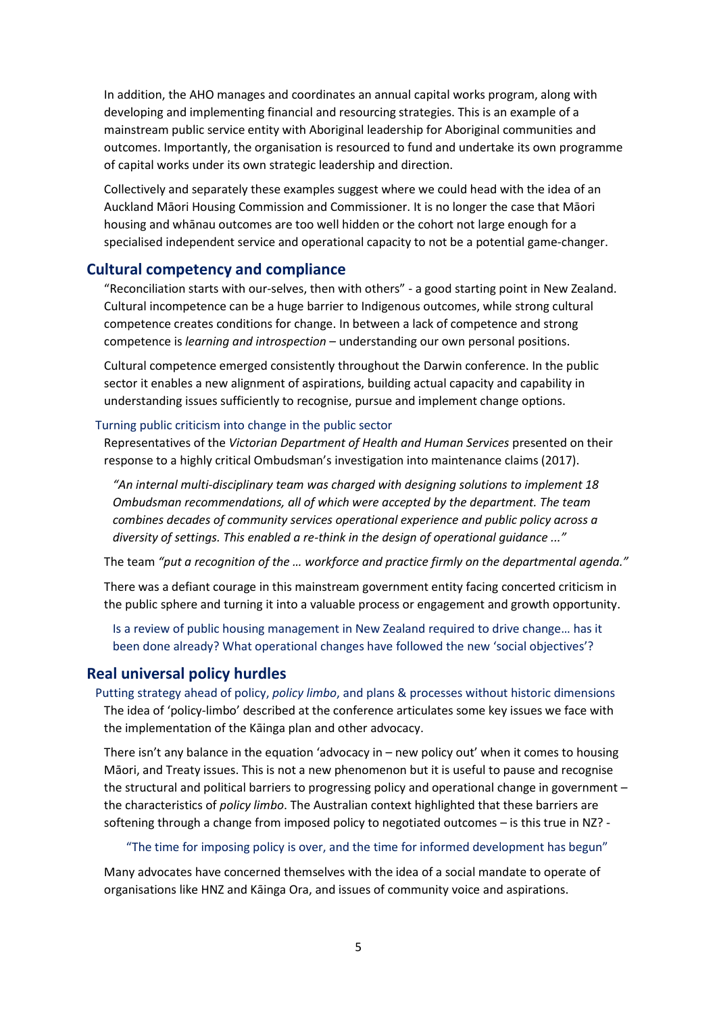In addition, the AHO manages and coordinates an annual capital works program, along with developing and implementing financial and resourcing strategies. This is an example of a mainstream public service entity with Aboriginal leadership for Aboriginal communities and outcomes. Importantly, the organisation is resourced to fund and undertake its own programme of capital works under its own strategic leadership and direction.

Collectively and separately these examples suggest where we could head with the idea of an Auckland Māori Housing Commission and Commissioner. It is no longer the case that Māori housing and whānau outcomes are too well hidden or the cohort not large enough for a specialised independent service and operational capacity to not be a potential game-changer.

# **Cultural competency and compliance**

"Reconciliation starts with our-selves, then with others" - a good starting point in New Zealand. Cultural incompetence can be a huge barrier to Indigenous outcomes, while strong cultural competence creates conditions for change. In between a lack of competence and strong competence is *learning and introspection* – understanding our own personal positions.

Cultural competence emerged consistently throughout the Darwin conference. In the public sector it enables a new alignment of aspirations, building actual capacity and capability in understanding issues sufficiently to recognise, pursue and implement change options.

#### Turning public criticism into change in the public sector

Representatives of the *Victorian Department of Health and Human Services* presented on their response to a highly critical Ombudsman's investigation into maintenance claims (2017).

*"An internal multi-disciplinary team was charged with designing solutions to implement 18 Ombudsman recommendations, all of which were accepted by the department. The team combines decades of community services operational experience and public policy across a diversity of settings. This enabled a re-think in the design of operational guidance ..."*

The team *"put a recognition of the … workforce and practice firmly on the departmental agenda."*

There was a defiant courage in this mainstream government entity facing concerted criticism in the public sphere and turning it into a valuable process or engagement and growth opportunity.

Is a review of public housing management in New Zealand required to drive change… has it been done already? What operational changes have followed the new 'social objectives'?

# **Real universal policy hurdles**

Putting strategy ahead of policy, *policy limbo*, and plans & processes without historic dimensions The idea of 'policy-limbo' described at the conference articulates some key issues we face with the implementation of the Kāinga plan and other advocacy.

There isn't any balance in the equation 'advocacy in – new policy out' when it comes to housing Māori, and Treaty issues. This is not a new phenomenon but it is useful to pause and recognise the structural and political barriers to progressing policy and operational change in government – the characteristics of *policy limbo*. The Australian context highlighted that these barriers are softening through a change from imposed policy to negotiated outcomes – is this true in NZ? -

#### "The time for imposing policy is over, and the time for informed development has begun"

Many advocates have concerned themselves with the idea of a social mandate to operate of organisations like HNZ and Kāinga Ora, and issues of community voice and aspirations.